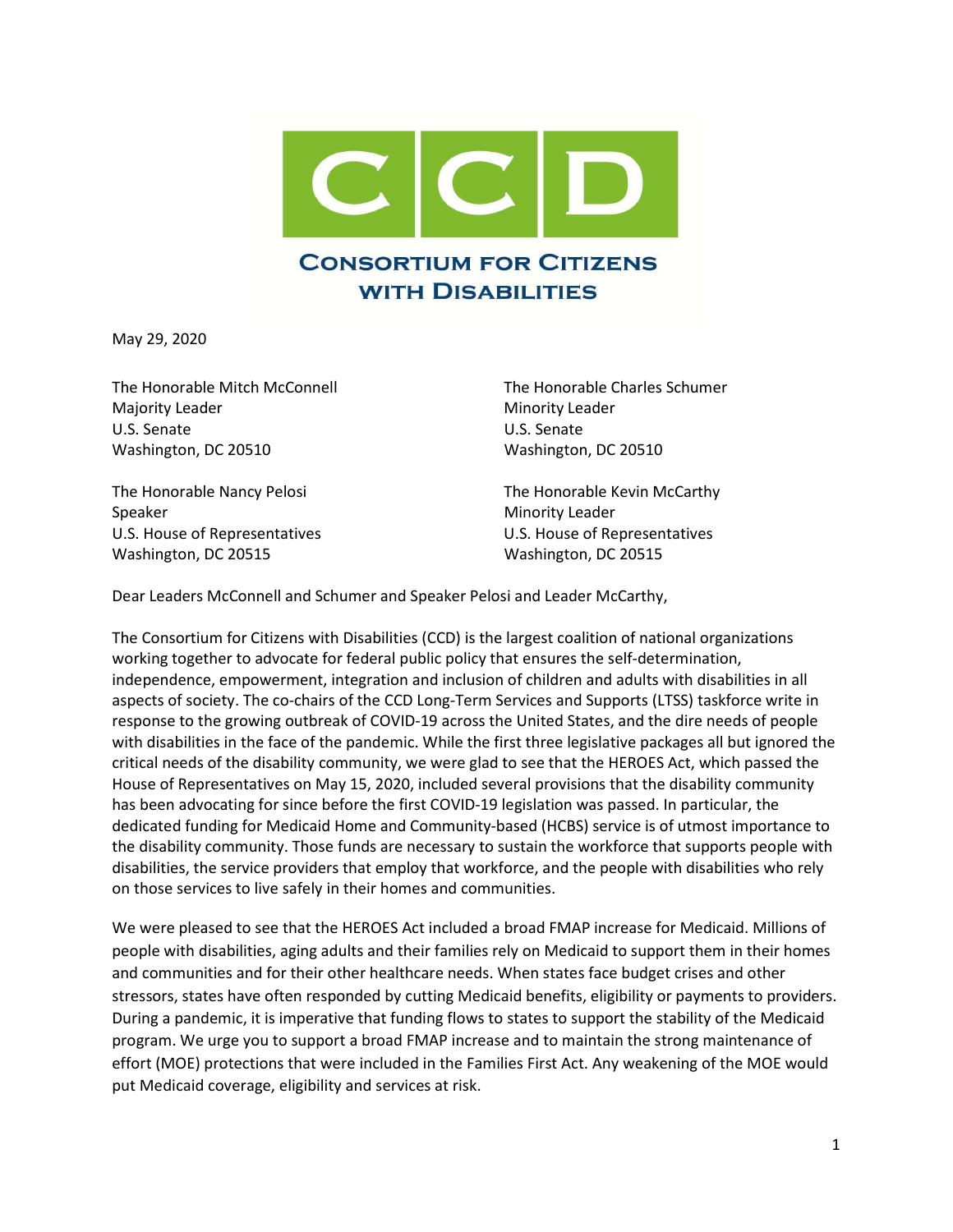

May 29, 2020

The Honorable Mitch McConnell The Honorable Charles Schumer Majority Leader **Minority Leader** Minority Leader U.S. Senate U.S. Senate Washington, DC 20510 Washington, DC 20510

Speaker Minority Leader Washington, DC 20515 Washington, DC 20515

The Honorable Nancy Pelosi The Honorable Kevin McCarthy U.S. House of Representatives U.S. House of Representatives

Dear Leaders McConnell and Schumer and Speaker Pelosi and Leader McCarthy,

The Consortium for Citizens with Disabilities (CCD) is the largest coalition of national organizations working together to advocate for federal public policy that ensures the self-determination, independence, empowerment, integration and inclusion of children and adults with disabilities in all aspects of society. The co-chairs of the CCD Long-Term Services and Supports (LTSS) taskforce write in response to the growing outbreak of COVID-19 across the United States, and the dire needs of people with disabilities in the face of the pandemic. While the first three legislative packages all but ignored the critical needs of the disability community, we were glad to see that the HEROES Act, which passed the House of Representatives on May 15, 2020, included several provisions that the disability community has been advocating for since before the first COVID-19 legislation was passed. In particular, the dedicated funding for Medicaid Home and Community-based (HCBS) service is of utmost importance to the disability community. Those funds are necessary to sustain the workforce that supports people with disabilities, the service providers that employ that workforce, and the people with disabilities who rely on those services to live safely in their homes and communities.

We were pleased to see that the HEROES Act included a broad FMAP increase for Medicaid. Millions of people with disabilities, aging adults and their families rely on Medicaid to support them in their homes and communities and for their other healthcare needs. When states face budget crises and other stressors, states have often responded by cutting Medicaid benefits, eligibility or payments to providers. During a pandemic, it is imperative that funding flows to states to support the stability of the Medicaid program. We urge you to support a broad FMAP increase and to maintain the strong maintenance of effort (MOE) protections that were included in the Families First Act. Any weakening of the MOE would put Medicaid coverage, eligibility and services at risk.